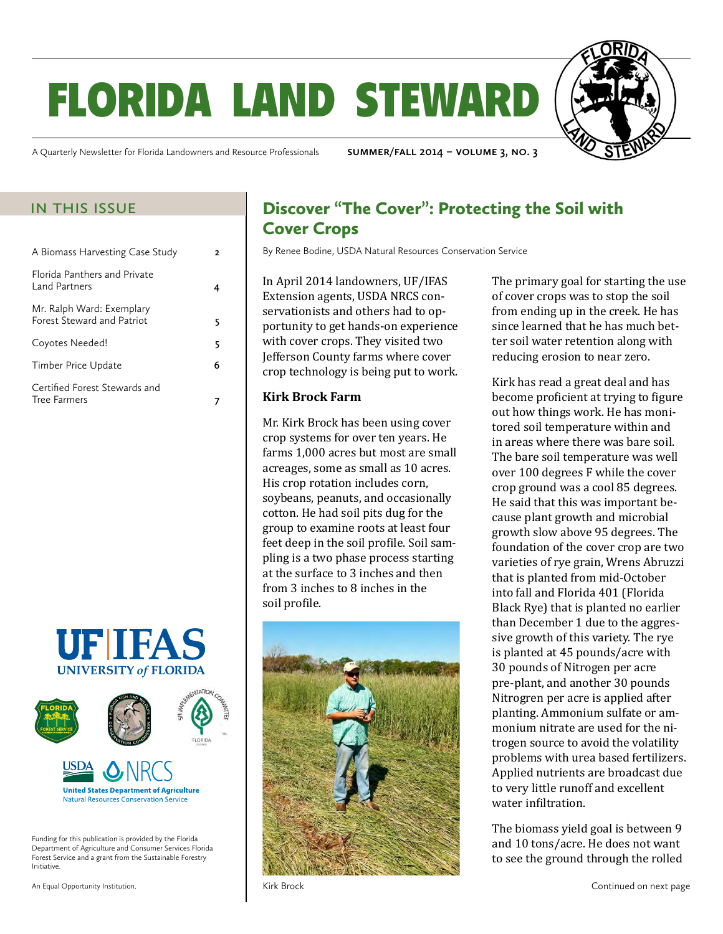# florida land steward



A Quarterly Newsletter for Florida Landowners and Resource Professionals **summer/fall 2014 – volume 3, no. 3**

| A Biomass Harvesting Case Study                                | 2 |
|----------------------------------------------------------------|---|
| Florida Panthers and Private<br>Land Partners                  |   |
| Mr. Ralph Ward: Exemplary<br><b>Forest Steward and Patriot</b> |   |
| Coyotes Needed!                                                | 5 |
| Timber Price Update                                            | 6 |
| Certified Forest Stewards and<br><b>Tree Farmers</b>           |   |





Funding for this publication is provided by the Florida Department of Agriculture and Consumer Services Florida Forest Service and a grant from the Sustainable Forestry Initiative.

An Equal Opportunity Institution.

#### IN THIS ISSUE Discover "The Cover": Protecting the Soil with Cover Crops

By Renee Bodine, USDA Natural Resources Conservation Service

In April 2014 landowners, UF/IFAS Extension agents, USDA NRCS conservationists and others had to opportunity to get hands-on experience with cover crops. They visited two Jefferson County farms where cover crop technology is being put to work.

#### **Kirk Brock Farm**

Mr. Kirk Brock has been using cover crop systems for over ten years. He farms 1,000 acres but most are small acreages, some as small as 10 acres. His crop rotation includes corn, soybeans, peanuts, and occasionally cotton. He had soil pits dug for the group to examine roots at least four feet deep in the soil profile. Soil sampling is a two phase process starting at the surface to 3 inches and then from 3 inches to 8 inches in the soil profile.



The primary goal for starting the use of cover crops was to stop the soil from ending up in the creek. He has since learned that he has much better soil water retention along with reducing erosion to near zero.

Kirk has read a great deal and has become proficient at trying to figure out how things work. He has monitored soil temperature within and in areas where there was bare soil. The bare soil temperature was well over 100 degrees F while the cover crop ground was a cool 85 degrees. He said that this was important because plant growth and microbial growth slow above 95 degrees. The foundation of the cover crop are two varieties of rye grain, Wrens Abruzzi that is planted from mid-October into fall and Florida 401 (Florida Black Rye) that is planted no earlier than December 1 due to the aggressive growth of this variety. The rye is planted at 45 pounds/acre with 30 pounds of Nitrogen per acre pre-plant, and another 30 pounds Nitrogren per acre is applied after planting. Ammonium sulfate or ammonium nitrate are used for the nitrogen source to avoid the volatility problems with urea based fertilizers. Applied nutrients are broadcast due to very little runoff and excellent water infiltration.

The biomass yield goal is between 9 and 10 tons/acre. He does not want to see the ground through the rolled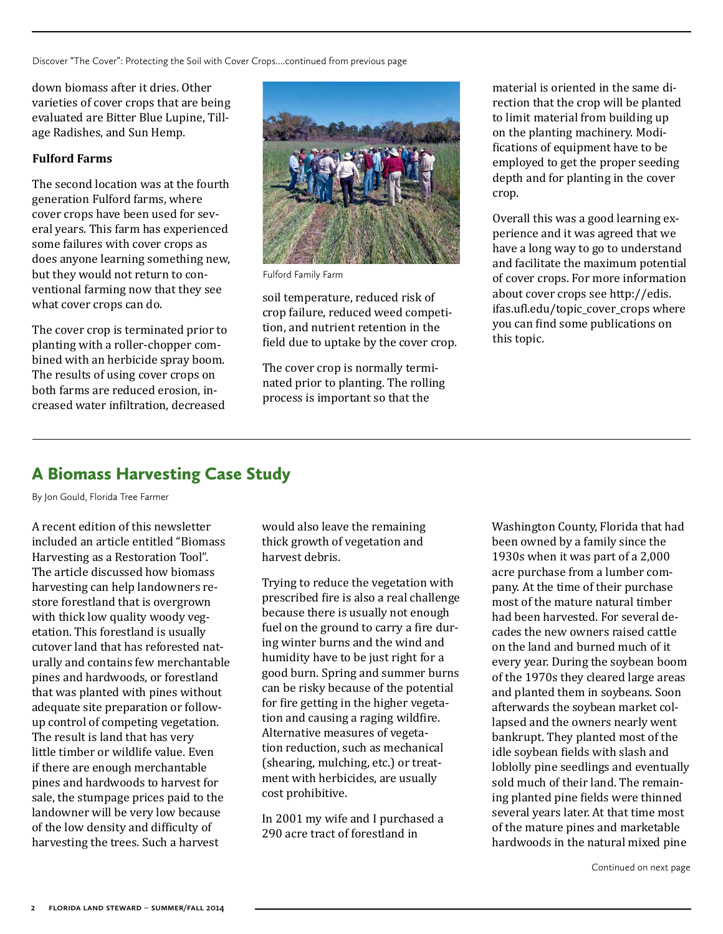<span id="page-1-0"></span>Discover "The Cover": Protecting the Soil with Cover Crops....continued from previous page

down biomass after it dries. Other varieties of cover crops that are being evaluated are Bitter Blue Lupine, Tillage Radishes, and Sun Hemp.

#### **Fulford Farms**

The second location was at the fourth generation Fulford farms, where cover crops have been used for several years. This farm has experienced some failures with cover crops as does anyone learning something new, but they would not return to conventional farming now that they see what cover crops can do.

The cover crop is terminated prior to planting with a roller-chopper combined with an herbicide spray boom. The results of using cover crops on both farms are reduced erosion, increased water infiltration, decreased



Fulford Family Farm

soil temperature, reduced risk of crop failure, reduced weed competition, and nutrient retention in the field due to uptake by the cover crop.

The cover crop is normally terminated prior to planting. The rolling process is important so that the

material is oriented in the same direction that the crop will be planted to limit material from building up on the planting machinery. Modifications of equipment have to be employed to get the proper seeding depth and for planting in the cover crop.

Overall this was a good learning experience and it was agreed that we have a long way to go to understand and facilitate the maximum potential of cover crops. For more information about cover crops see [http://edis.](http://edis.ifas.ufl.edu/topic_cover_crops) [ifas.ufl.edu/topic\\_cover\\_crops](http://edis.ifas.ufl.edu/topic_cover_crops) where you can find some publications on this topic.

### A Biomass Harvesting Case Study

By Jon Gould, Florida Tree Farmer

A recent edition of this newsletter included an article entitled "Biomass Harvesting as a Restoration Tool". The article discussed how biomass harvesting can help landowners restore forestland that is overgrown with thick low quality woody vegetation. This forestland is usually cutover land that has reforested naturally and contains few merchantable pines and hardwoods, or forestland that was planted with pines without adequate site preparation or followup control of competing vegetation. The result is land that has very little timber or wildlife value. Even if there are enough merchantable pines and hardwoods to harvest for sale, the stumpage prices paid to the landowner will be very low because of the low density and difficulty of harvesting the trees. Such a harvest

would also leave the remaining thick growth of vegetation and harvest debris.

Trying to reduce the vegetation with prescribed fire is also a real challenge because there is usually not enough fuel on the ground to carry a fire during winter burns and the wind and humidity have to be just right for a good burn. Spring and summer burns can be risky because of the potential for fire getting in the higher vegetation and causing a raging wildfire. Alternative measures of vegetation reduction, such as mechanical (shearing, mulching, etc.) or treatment with herbicides, are usually cost prohibitive.

In 2001 my wife and I purchased a 290 acre tract of forestland in

Washington County, Florida that had been owned by a family since the 1930s when it was part of a 2,000 acre purchase from a lumber company. At the time of their purchase most of the mature natural timber had been harvested. For several decades the new owners raised cattle on the land and burned much of it every year. During the soybean boom of the 1970s they cleared large areas and planted them in soybeans. Soon afterwards the soybean market collapsed and the owners nearly went bankrupt. They planted most of the idle soybean fields with slash and loblolly pine seedlings and eventually sold much of their land. The remaining planted pine fields were thinned several years later. At that time most of the mature pines and marketable hardwoods in the natural mixed pine

Continued on next page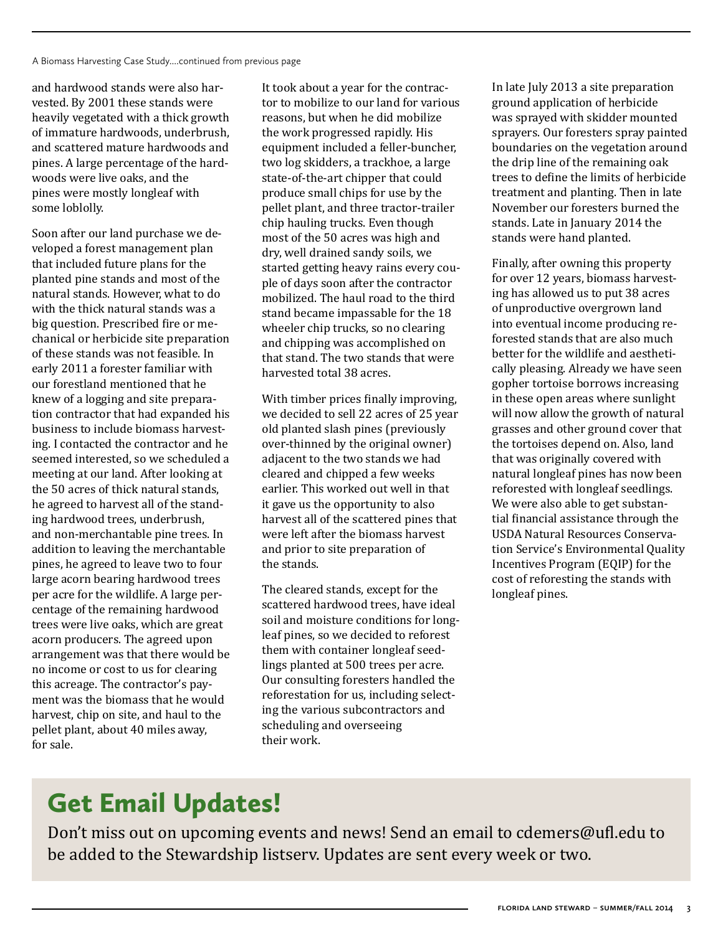and hardwood stands were also harvested. By 2001 these stands were heavily vegetated with a thick growth of immature hardwoods, underbrush, and scattered mature hardwoods and pines. A large percentage of the hardwoods were live oaks, and the pines were mostly longleaf with some loblolly.

Soon after our land purchase we developed a forest management plan that included future plans for the planted pine stands and most of the natural stands. However, what to do with the thick natural stands was a big question. Prescribed fire or mechanical or herbicide site preparation of these stands was not feasible. In early 2011 a forester familiar with our forestland mentioned that he knew of a logging and site preparation contractor that had expanded his business to include biomass harvesting. I contacted the contractor and he seemed interested, so we scheduled a meeting at our land. After looking at the 50 acres of thick natural stands, he agreed to harvest all of the standing hardwood trees, underbrush, and non-merchantable pine trees. In addition to leaving the merchantable pines, he agreed to leave two to four large acorn bearing hardwood trees per acre for the wildlife. A large percentage of the remaining hardwood trees were live oaks, which are great acorn producers. The agreed upon arrangement was that there would be no income or cost to us for clearing this acreage. The contractor's payment was the biomass that he would harvest, chip on site, and haul to the pellet plant, about 40 miles away, for sale.

It took about a year for the contractor to mobilize to our land for various reasons, but when he did mobilize the work progressed rapidly. His equipment included a feller-buncher, two log skidders, a trackhoe, a large state-of-the-art chipper that could produce small chips for use by the pellet plant, and three tractor-trailer chip hauling trucks. Even though most of the 50 acres was high and dry, well drained sandy soils, we started getting heavy rains every couple of days soon after the contractor mobilized. The haul road to the third stand became impassable for the 18 wheeler chip trucks, so no clearing and chipping was accomplished on that stand. The two stands that were harvested total 38 acres.

With timber prices finally improving, we decided to sell 22 acres of 25 year old planted slash pines (previously over-thinned by the original owner) adjacent to the two stands we had cleared and chipped a few weeks earlier. This worked out well in that it gave us the opportunity to also harvest all of the scattered pines that were left after the biomass harvest and prior to site preparation of the stands.

The cleared stands, except for the scattered hardwood trees, have ideal soil and moisture conditions for longleaf pines, so we decided to reforest them with container longleaf seedlings planted at 500 trees per acre. Our consulting foresters handled the reforestation for us, including selecting the various subcontractors and scheduling and overseeing their work.

In late July 2013 a site preparation ground application of herbicide was sprayed with skidder mounted sprayers. Our foresters spray painted boundaries on the vegetation around the drip line of the remaining oak trees to define the limits of herbicide treatment and planting. Then in late November our foresters burned the stands. Late in January 2014 the stands were hand planted.

Finally, after owning this property for over 12 years, biomass harvesting has allowed us to put 38 acres of unproductive overgrown land into eventual income producing reforested stands that are also much better for the wildlife and aesthetically pleasing. Already we have seen gopher tortoise borrows increasing in these open areas where sunlight will now allow the growth of natural grasses and other ground cover that the tortoises depend on. Also, land that was originally covered with natural longleaf pines has now been reforested with longleaf seedlings. We were also able to get substantial financial assistance through the USDA Natural Resources Conservation Service's Environmental Quality Incentives Program (EQIP) for the cost of reforesting the stands with longleaf pines.

### Get Email Updates!

Don't miss out on upcoming events and news! Send an email to [cdemers@ufl.edu](mailto:cdemers%40ufl.edu?subject=) to be added to the Stewardship listserv. Updates are sent every week or two.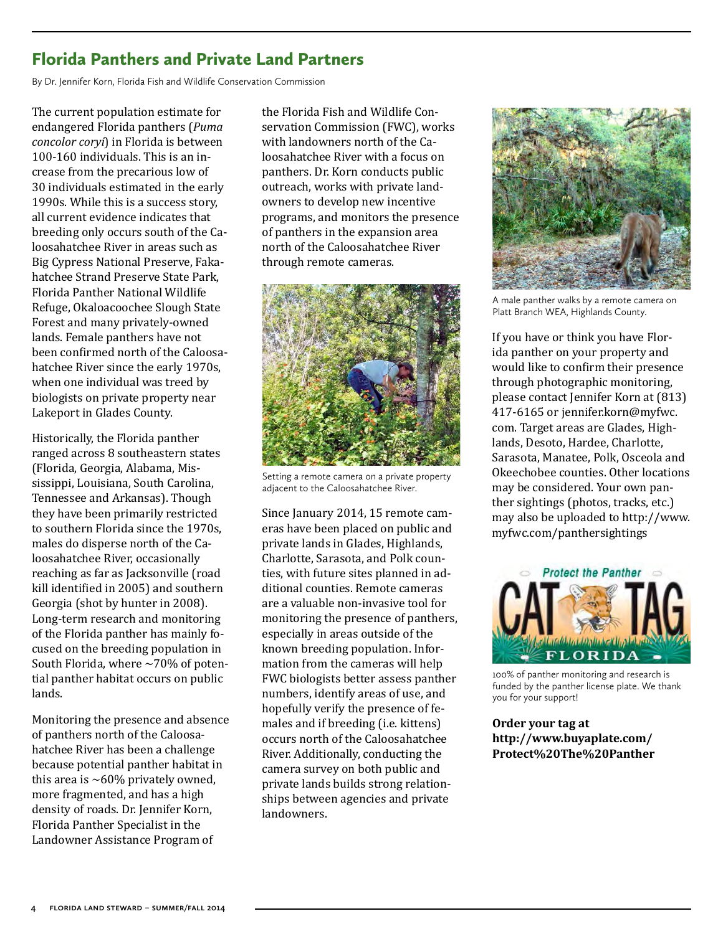#### <span id="page-3-0"></span>Florida Panthers and Private Land Partners

By Dr. Jennifer Korn, Florida Fish and Wildlife Conservation Commission

The current population estimate for endangered Florida panthers (*Puma concolor coryi*) in Florida is between 100-160 individuals. This is an increase from the precarious low of 30 individuals estimated in the early 1990s. While this is a success story, all current evidence indicates that breeding only occurs south of the Caloosahatchee River in areas such as Big Cypress National Preserve, Fakahatchee Strand Preserve State Park, Florida Panther National Wildlife Refuge, Okaloacoochee Slough State Forest and many privately-owned lands. Female panthers have not been confirmed north of the Caloosahatchee River since the early 1970s, when one individual was treed by biologists on private property near Lakeport in Glades County.

Historically, the Florida panther ranged across 8 southeastern states (Florida, Georgia, Alabama, Mississippi, Louisiana, South Carolina, Tennessee and Arkansas). Though they have been primarily restricted to southern Florida since the 1970s, males do disperse north of the Caloosahatchee River, occasionally reaching as far as Jacksonville (road kill identified in 2005) and southern Georgia (shot by hunter in 2008). Long-term research and monitoring of the Florida panther has mainly focused on the breeding population in South Florida, where  $\sim$  70% of potential panther habitat occurs on public lands.

Monitoring the presence and absence of panthers north of the Caloosahatchee River has been a challenge because potential panther habitat in this area is  $\sim 60\%$  privately owned, more fragmented, and has a high density of roads. Dr. Jennifer Korn, Florida Panther Specialist in the Landowner Assistance Program of

the Florida Fish and Wildlife Conservation Commission (FWC), works with landowners north of the Caloosahatchee River with a focus on panthers. Dr. Korn conducts public outreach, works with private landowners to develop new incentive programs, and monitors the presence of panthers in the expansion area north of the Caloosahatchee River through remote cameras.



Setting a remote camera on a private property adjacent to the Caloosahatchee River.

Since January 2014, 15 remote cameras have been placed on public and private lands in Glades, Highlands, Charlotte, Sarasota, and Polk counties, with future sites planned in additional counties. Remote cameras are a valuable non-invasive tool for monitoring the presence of panthers, especially in areas outside of the known breeding population. Information from the cameras will help FWC biologists better assess panther numbers, identify areas of use, and hopefully verify the presence of females and if breeding (i.e. kittens) occurs north of the Caloosahatchee River. Additionally, conducting the camera survey on both public and private lands builds strong relationships between agencies and private landowners.



A male panther walks by a remote camera on Platt Branch WEA, Highlands County.

If you have or think you have Florida panther on your property and would like to confirm their presence through photographic monitoring, please contact Jennifer Korn at (813) 417-6165 or [jennifer.korn@myfwc.](mailto:jennifer.korn%40myfwc.com?subject=) [com.](mailto:jennifer.korn%40myfwc.com?subject=) Target areas are Glades, Highlands, Desoto, Hardee, Charlotte, Sarasota, Manatee, Polk, Osceola and Okeechobee counties. Other locations may be considered. Your own panther sightings (photos, tracks, etc.) may also be uploaded to [http://www.](http://www.myfwc.com/panthersightings) [myfwc.com/panthersightings](http://www.myfwc.com/panthersightings) 



100% of panther monitoring and research is funded by the panther license plate. We thank you for your support!

**Order your tag at [http://www.buyaplate.com/](http://www.buyaplate.com/Protect%20The%20Panther)  [Protect%20The%20Panther](http://www.buyaplate.com/Protect%20The%20Panther)**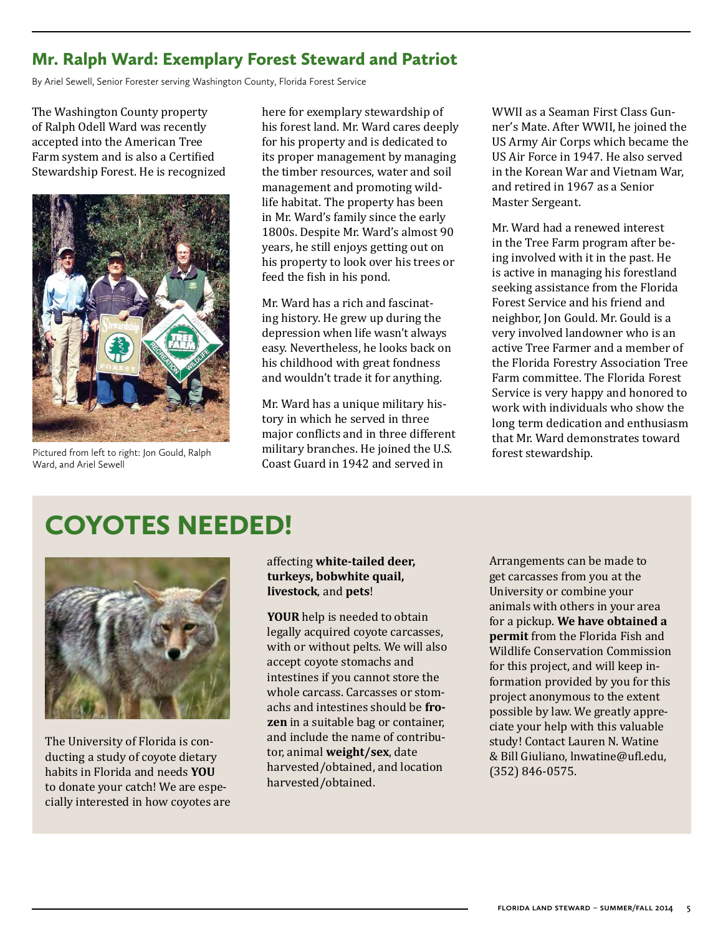#### <span id="page-4-0"></span>Mr. Ralph Ward: Exemplary Forest Steward and Patriot

By Ariel Sewell, Senior Forester serving Washington County, Florida Forest Service

The Washington County property of Ralph Odell Ward was recently accepted into the American Tree Farm system and is also a Certified Stewardship Forest. He is recognized



Pictured from left to right: Jon Gould, Ralph Ward, and Ariel Sewell

here for exemplary stewardship of his forest land. Mr. Ward cares deeply for his property and is dedicated to its proper management by managing the timber resources, water and soil management and promoting wildlife habitat. The property has been in Mr. Ward's family since the early 1800s. Despite Mr. Ward's almost 90 years, he still enjoys getting out on his property to look over his trees or feed the fish in his pond.

Mr. Ward has a rich and fascinating history. He grew up during the depression when life wasn't always easy. Nevertheless, he looks back on his childhood with great fondness and wouldn't trade it for anything.

Mr. Ward has a unique military history in which he served in three major conflicts and in three different military branches. He joined the U.S. Coast Guard in 1942 and served in

WWII as a Seaman First Class Gunner's Mate. After WWII, he joined the US Army Air Corps which became the US Air Force in 1947. He also served in the Korean War and Vietnam War, and retired in 1967 as a Senior Master Sergeant.

Mr. Ward had a renewed interest in the Tree Farm program after being involved with it in the past. He is active in managing his forestland seeking assistance from the Florida Forest Service and his friend and neighbor, Jon Gould. Mr. Gould is a very involved landowner who is an active Tree Farmer and a member of the Florida Forestry Association Tree Farm committee. The Florida Forest Service is very happy and honored to work with individuals who show the long term dedication and enthusiasm that Mr. Ward demonstrates toward

### COYOTES NEEDED!



The University of Florida is conducting a study of coyote dietary habits in Florida and needs **YOU** to donate your catch! We are especially interested in how coyotes are

#### affecting **white-tailed deer, turkeys, bobwhite quail, livestock**, and **pets**!

**YOUR** help is needed to obtain legally acquired coyote carcasses, with or without pelts. We will also accept coyote stomachs and intestines if you cannot store the whole carcass. Carcasses or stomachs and intestines should be **frozen** in a suitable bag or container, and include the name of contributor, animal **weight/sex**, date harvested/obtained, and location harvested/obtained.

Arrangements can be made to get carcasses from you at the University or combine your animals with others in your area for a pickup. **We have obtained a permit** from the Florida Fish and Wildlife Conservation Commission for this project, and will keep information provided by you for this project anonymous to the extent possible by law. We greatly appreciate your help with this valuable study! Contact Lauren N. Watine & Bill Giuliano, [lnwatine@ufl.edu](http://lnwatine@ufl.edu), (352) 846-0575.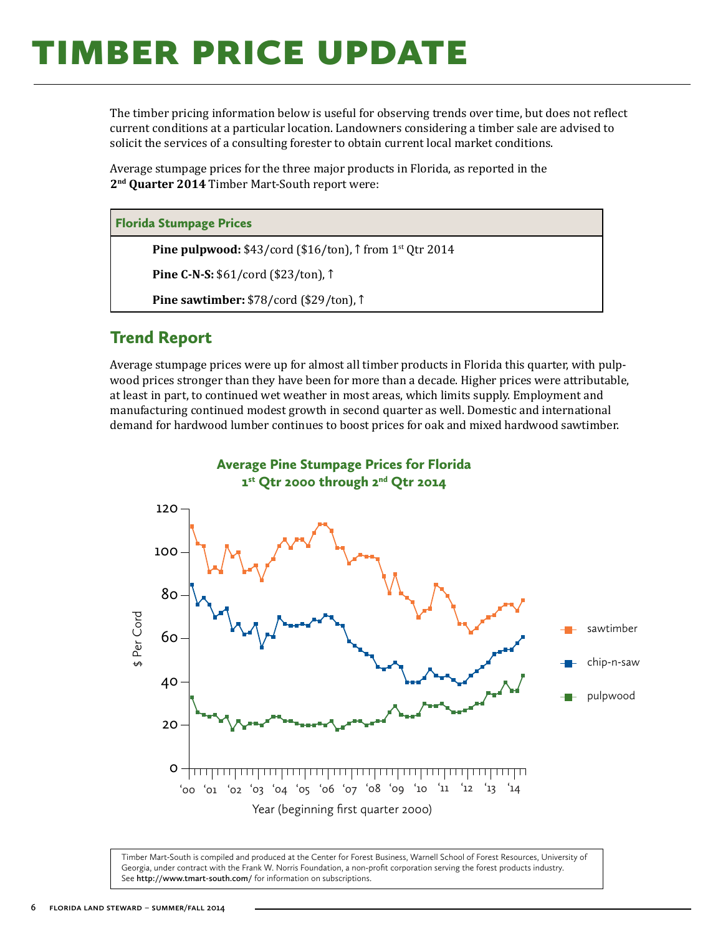## <span id="page-5-0"></span>**TIMBER PRICE UPDATE**

The timber pricing information below is useful for observing trends over time, but does not reflect current conditions at a particular location. Landowners considering a timber sale are advised to solicit the services of a consulting forester to obtain current local market conditions.

Average stumpage prices for the three major products in Florida, as reported in the **2nd Quarter 2014** Timber Mart-South report were:

#### Florida Stumpage Prices

**Pine pulpwood:** \$43/cord (\$16/ton), ↑ from 1<sup>st</sup> Qtr 2014

**Pine C-N-S:** \$61/cord (\$23/ton), ↑

**Pine sawtimber:** \$78/cord (\$29/ton), ↑

#### Trend Report

Average stumpage prices were up for almost all timber products in Florida this quarter, with pulpwood prices stronger than they have been for more than a decade. Higher prices were attributable, at least in part, to continued wet weather in most areas, which limits supply. Employment and manufacturing continued modest growth in second quarter as well. Domestic and international demand for hardwood lumber continues to boost prices for oak and mixed hardwood sawtimber.



Timber Mart-South is compiled and produced at the Center for Forest Business, Warnell School of Forest Resources, University of Georgia, under contract with the Frank W. Norris Foundation, a non-profit corporation serving the forest products industry. See **<http://www.tmart-south.com/>** for information on subscriptions.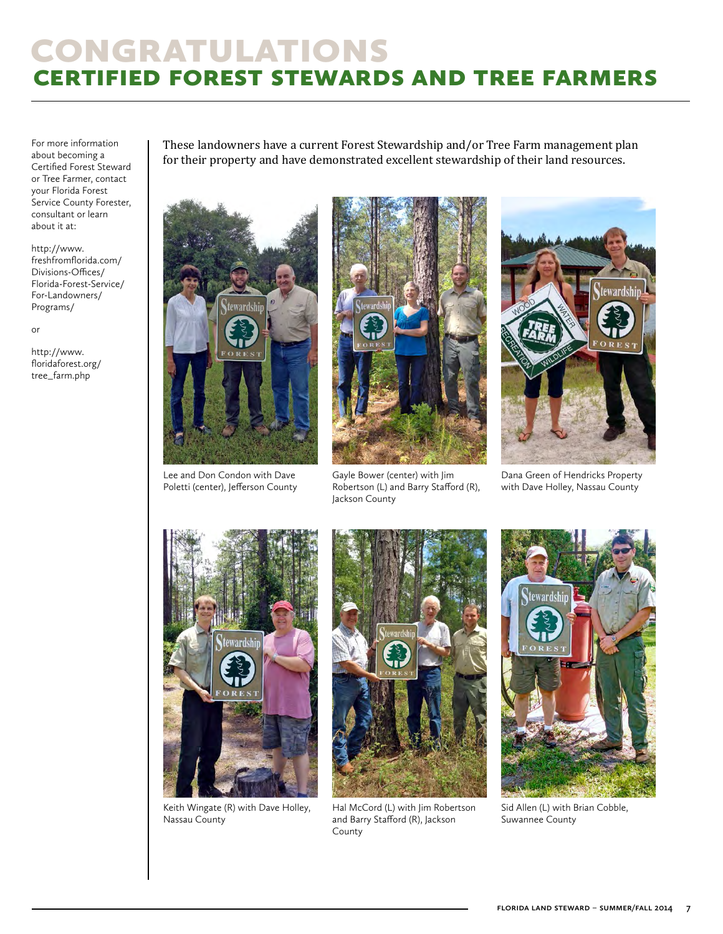### congratulations certified forest stewards and tree farmers

For more information about becoming a Certified Forest Steward or Tree Farmer, contact your Florida Forest Service County Forester, consultant or learn about it at:

[http://www.](http://www.freshfromflorida.com/Divisions-Offices/Florida-Forest-Service/For-Landowners/Programs/) [freshfromflorida.com/](http://www.freshfromflorida.com/Divisions-Offices/Florida-Forest-Service/For-Landowners/Programs/) [Divisions-Offices/](http://www.freshfromflorida.com/Divisions-Offices/Florida-Forest-Service/For-Landowners/Programs/) [Florida-Forest-Service/](http://www.freshfromflorida.com/Divisions-Offices/Florida-Forest-Service/For-Landowners/Programs/) [For-Landowners/](http://www.freshfromflorida.com/Divisions-Offices/Florida-Forest-Service/For-Landowners/Programs/) [Programs/](http://www.freshfromflorida.com/Divisions-Offices/Florida-Forest-Service/For-Landowners/Programs/)

or

[http://www.](http://www.floridaforest.org/ tree_farm.php) [floridaforest.org/](http://www.floridaforest.org/ tree_farm.php)  [tree\\_farm.php](http://www.floridaforest.org/ tree_farm.php)

These landowners have a current Forest Stewardship and/or Tree Farm management plan for their property and have demonstrated excellent stewardship of their land resources.



Lee and Don Condon with Dave Poletti (center), Jefferson County



Gayle Bower (center) with Jim Robertson (L) and Barry Stafford (R), Jackson County



Dana Green of Hendricks Property with Dave Holley, Nassau County



Keith Wingate (R) with Dave Holley, Nassau County



Hal McCord (L) with Jim Robertson and Barry Stafford (R), Jackson County



Sid Allen (L) with Brian Cobble, Suwannee County